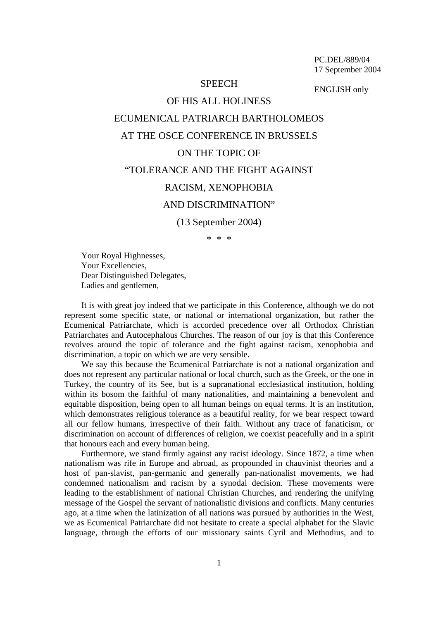PC.DEL/889/04 17 September 2004

## **SPEECH**

ENGLISH only

## OF HIS ALL HOLINESS ECUMENICAL PATRIARCH BARTHOLOMEOS AT THE OSCE CONFERENCE IN BRUSSELS ON THE TOPIC OF "TOLERANCE AND THE FIGHT AGAINST RACISM, XENOPHOBIA AND DISCRIMINATION"

(13 September 2004)

\* \* \*

Your Royal Highnesses, Your Excellencies, Dear Distinguished Delegates, Ladies and gentlemen,

It is with great joy indeed that we participate in this Conference, although we do not represent some specific state, or national or international organization, but rather the Ecumenical Patriarchate, which is accorded precedence over all Orthodox Christian Patriarchates and Autocephalous Churches. The reason of our joy is that this Conference revolves around the topic of tolerance and the fight against racism, xenophobia and discrimination, a topic on which we are very sensible.

We say this because the Ecumenical Patriarchate is not a national organization and does not represent any particular national or local church, such as the Greek, or the one in Turkey, the country of its See, but is a supranational ecclesiastical institution, holding within its bosom the faithful of many nationalities, and maintaining a benevolent and equitable disposition, being open to all human beings on equal terms. It is an institution, which demonstrates religious tolerance as a beautiful reality, for we bear respect toward all our fellow humans, irrespective of their faith. Without any trace of fanaticism, or discrimination on account of differences of religion, we coexist peacefully and in a spirit that honours each and every human being.

Furthermore, we stand firmly against any racist ideology. Since 1872, a time when nationalism was rife in Europe and abroad, as propounded in chauvinist theories and a host of pan-slavist, pan-germanic and generally pan-nationalist movements, we had condemned nationalism and racism by a synodal decision. These movements were leading to the establishment of national Christian Churches, and rendering the unifying message of the Gospel the servant of nationalistic divisions and conflicts. Many centuries ago, at a time when the latinization of all nations was pursued by authorities in the West, we as Ecumenical Patriarchate did not hesitate to create a special alphabet for the Slavic language, through the efforts of our missionary saints Cyril and Methodius, and to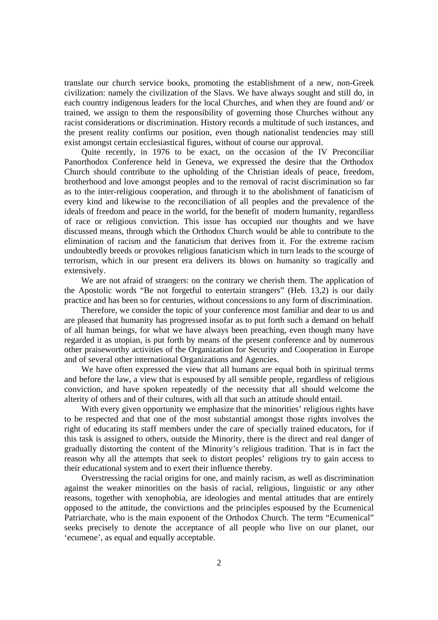translate our church service books, promoting the establishment of a new, non-Greek civilization: namely the civilization of the Slavs. We have always sought and still do, in each country indigenous leaders for the local Churches, and when they are found and/ or trained, we assign to them the responsibility of governing those Churches without any racist considerations or discrimination. History records a multitude of such instances, and the present reality confirms our position, even though nationalist tendencies may still exist amongst certain ecclesiastical figures, without of course our approval.

Quite recently, in 1976 to be exact, on the occasion of the IV Preconciliar Panorthodox Conference held in Geneva, we expressed the desire that the Orthodox Church should contribute to the upholding of the Christian ideals of peace, freedom, brotherhood and love amongst peoples and to the removal of racist discrimination so far as to the inter-religious cooperation, and through it to the abolishment of fanaticism of every kind and likewise to the reconciliation of all peoples and the prevalence of the ideals of freedom and peace in the world, for the benefit of modern humanity, regardless of race or religious conviction. This issue has occupied our thoughts and we have discussed means, through which the Orthodox Church would be able to contribute to the elimination of racism and the fanaticism that derives from it. For the extreme racism undoubtedly breeds or provokes religious fanaticism which in turn leads to the scourge of terrorism, which in our present era delivers its blows on humanity so tragically and extensively.

We are not afraid of strangers: on the contrary we cherish them. The application of the Apostolic words "Be not forgetful to entertain strangers" (Heb. 13,2) is our daily practice and has been so for centuries, without concessions to any form of discrimination.

Therefore, we consider the topic of your conference most familiar and dear to us and are pleased that humanity has progressed insofar as to put forth such a demand on behalf of all human beings, for what we have always been preaching, even though many have regarded it as utopian, is put forth by means of the present conference and by numerous other praiseworthy activities of the Organization for Security and Cooperation in Europe and of several other international Organizations and Agencies.

We have often expressed the view that all humans are equal both in spiritual terms and before the law, a view that is espoused by all sensible people, regardless of religious conviction, and have spoken repeatedly of the necessity that all should welcome the alterity of others and of their cultures, with all that such an attitude should entail.

With every given opportunity we emphasize that the minorities' religious rights have to be respected and that one of the most substantial amongst those rights involves the right of educating its staff members under the care of specially trained educators, for if this task is assigned to others, outside the Minority, there is the direct and real danger of gradually distorting the content of the Minority's religious tradition. That is in fact the reason why all the attempts that seek to distort peoples' religions try to gain access to their educational system and to exert their influence thereby.

Overstressing the racial origins for one, and mainly racism, as well as discrimination against the weaker minorities on the basis of racial, religious, linguistic or any other reasons, together with xenophobia, are ideologies and mental attitudes that are entirely opposed to the attitude, the convictions and the principles espoused by the Ecumenical Patriarchate, who is the main exponent of the Orthodox Church. The term "Ecumenical" seeks precisely to denote the acceptance of all people who live on our planet, our 'ecumene', as equal and equally acceptable.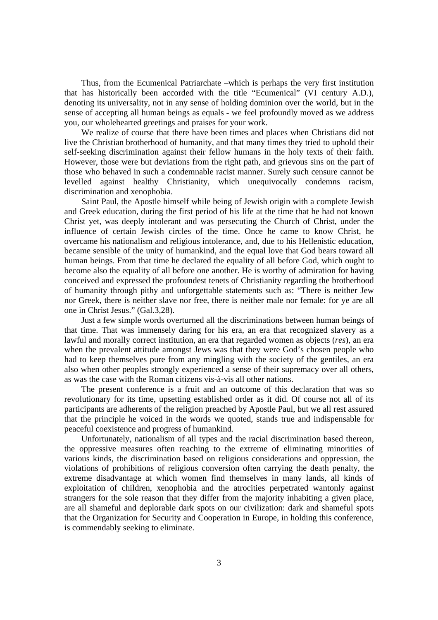Thus, from the Ecumenical Patriarchate –which is perhaps the very first institution that has historically been accorded with the title "Ecumenical" (VI century A.D.), denoting its universality, not in any sense of holding dominion over the world, but in the sense of accepting all human beings as equals - we feel profoundly moved as we address you, our wholehearted greetings and praises for your work.

We realize of course that there have been times and places when Christians did not live the Christian brotherhood of humanity, and that many times they tried to uphold their self-seeking discrimination against their fellow humans in the holy texts of their faith. However, those were but deviations from the right path, and grievous sins on the part of those who behaved in such a condemnable racist manner. Surely such censure cannot be levelled against healthy Christianity, which unequivocally condemns racism, discrimination and xenophobia.

Saint Paul, the Apostle himself while being of Jewish origin with a complete Jewish and Greek education, during the first period of his life at the time that he had not known Christ yet, was deeply intolerant and was persecuting the Church of Christ, under the influence of certain Jewish circles of the time. Once he came to know Christ, he overcame his nationalism and religious intolerance, and, due to his Hellenistic education, became sensible of the unity of humankind, and the equal love that God bears toward all human beings. From that time he declared the equality of all before God, which ought to become also the equality of all before one another. He is worthy of admiration for having conceived and expressed the profoundest tenets of Christianity regarding the brotherhood of humanity through pithy and unforgettable statements such as: "There is neither Jew nor Greek, there is neither slave nor free, there is neither male nor female: for ye are all one in Christ Jesus." (Gal.3,28).

Just a few simple words overturned all the discriminations between human beings of that time. That was immensely daring for his era, an era that recognized slavery as a lawful and morally correct institution, an era that regarded women as objects (*res*), an era when the prevalent attitude amongst Jews was that they were God's chosen people who had to keep themselves pure from any mingling with the society of the gentiles, an era also when other peoples strongly experienced a sense of their supremacy over all others, as was the case with the Roman citizens vis-à-vis all other nations.

The present conference is a fruit and an outcome of this declaration that was so revolutionary for its time, upsetting established order as it did. Of course not all of its participants are adherents of the religion preached by Apostle Paul, but we all rest assured that the principle he voiced in the words we quoted, stands true and indispensable for peaceful coexistence and progress of humankind.

Unfortunately, nationalism of all types and the racial discrimination based thereon, the oppressive measures often reaching to the extreme of eliminating minorities of various kinds, the discrimination based on religious considerations and oppression, the violations of prohibitions of religious conversion often carrying the death penalty, the extreme disadvantage at which women find themselves in many lands, all kinds of exploitation of children, xenophobia and the atrocities perpetrated wantonly against strangers for the sole reason that they differ from the majority inhabiting a given place, are all shameful and deplorable dark spots on our civilization: dark and shameful spots that the Organization for Security and Cooperation in Europe, in holding this conference, is commendably seeking to eliminate.